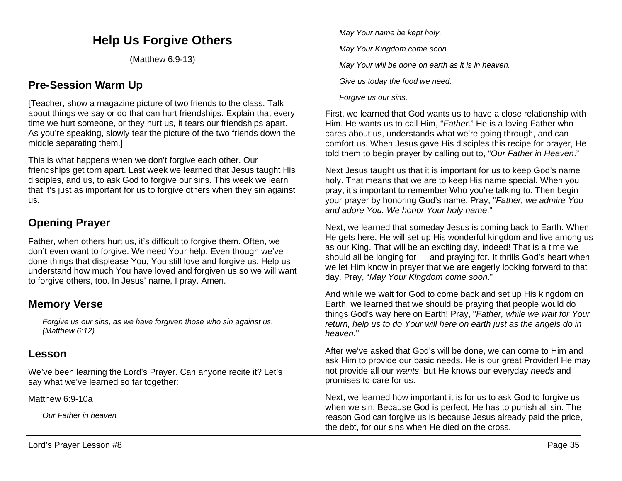# **Help Us Forgive Others**

(Matthew 6:9-13)

## **Pre-Session Warm Up**

[Teacher, show a magazine picture of two friends to the class. Talk about things we say or do that can hurt friendships. Explain that every time we hurt someone, or they hurt us, it tears our friendships apart. As you're speaking, slowly tear the picture of the two friends down the middle separating them.]

This is what happens when we don't forgive each other. Our friendships get torn apart. Last week we learned that Jesus taught His disciples, and us, to ask God to forgive our sins. This week we learn that it's just as important for us to forgive others when they sin against us.

# **Opening Prayer**

Father, when others hurt us, it's difficult to forgive them. Often, we don't even want to forgive. We need Your help. Even though we've done things that displease You, You still love and forgive us. Help us understand how much You have loved and forgiven us so we will want to forgive others, too. In Jesus' name, I pray. Amen.

## **Memory Verse**

*Forgive us our sins, as we have forgiven those who sin against us. (Matthew 6:12)*

### **Lesson**

We've been learning the Lord's Prayer. Can anyone recite it? Let's say what we've learned so far together:

Matthew 6:9-10a

*Our Father in heaven*

*May Your name be kept holy.*

*May Your Kingdom come soon.*

*May Your will be done on earth as it is in heaven.*

*Give us today the food we need.*

*Forgive us our sins.*

First, we learned that God wants us to have a close relationship with Him. He wants us to call Him, "*Father*." He is a loving Father who cares about us, understands what we're going through, and can comfort us. When Jesus gave His disciples this recipe for prayer, He told them to begin prayer by calling out to, "*Our Father in Heaven*."

Next Jesus taught us that it is important for us to keep God's name holy. That means that we are to keep His name special. When you pray, it's important to remember Who you're talking to. Then begin your prayer by honoring God's name. Pray, "*Father, we admire You and adore You. We honor Your holy name*."

Next, we learned that someday Jesus is coming back to Earth. When He gets here, He will set up His wonderful kingdom and live among us as our King. That will be an exciting day, indeed! That is a time we should all be longing for — and praying for. It thrills God's heart when we let Him know in prayer that we are eagerly looking forward to that day. Pray, "*May Your Kingdom come soon*."

And while we wait for God to come back and set up His kingdom on Earth, we learned that we should be praying that people would do things God's way here on Earth! Pray, "*Father, while we wait for Your return, help us to do Your will here on earth just as the angels do in heaven*."

After we've asked that God's will be done, we can come to Him and ask Him to provide our basic needs. He is our great Provider! He may not provide all our *wants*, but He knows our everyday *needs* and promises to care for us.

Next, we learned how important it is for us to ask God to forgive us when we sin. Because God is perfect, He has to punish all sin. The reason God can forgive us is because Jesus already paid the price, the debt, for our sins when He died on the cross.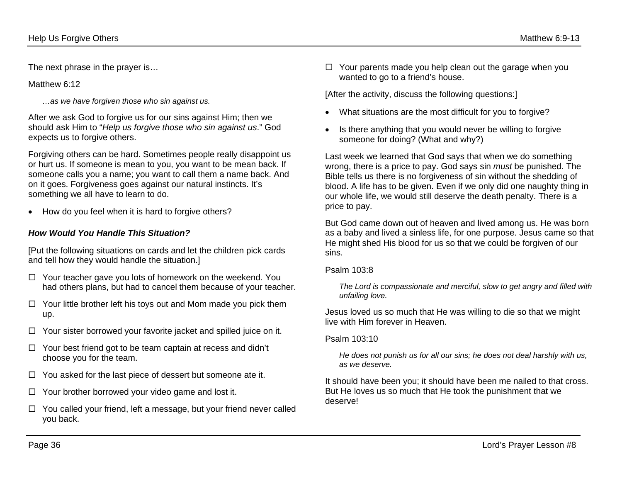The next phrase in the prayer is…

Matthew 6:12

*…as we have forgiven those who sin against us.*

After we ask God to forgive us for our sins against Him; then we should ask Him to "*Help us forgive those who sin against us*." God expects us to forgive others.

Forgiving others can be hard. Sometimes people really disappoint us or hurt us. If someone is mean to you, you want to be mean back. If someone calls you a name; you want to call them a name back. And on it goes. Forgiveness goes against our natural instincts. It's something we all have to learn to do.

• How do you feel when it is hard to forgive others?

#### *How Would You Handle This Situation?*

[Put the following situations on cards and let the children pick cards and tell how they would handle the situation.]

- $\Box$  Your teacher gave you lots of homework on the weekend. You had others plans, but had to cancel them because of your teacher.
- $\Box$  Your little brother left his toys out and Mom made you pick them up.
- $\Box$  Your sister borrowed your favorite jacket and spilled juice on it.
- $\Box$  Your best friend got to be team captain at recess and didn't choose you for the team.
- $\Box$  You asked for the last piece of dessert but someone ate it.
- $\Box$  Your brother borrowed your video game and lost it.
- $\Box$  You called your friend, left a message, but your friend never called you back.

 $\Box$  Your parents made you help clean out the garage when you wanted to go to a friend's house.

[After the activity, discuss the following questions:]

- What situations are the most difficult for you to forgive?
- Is there anything that you would never be willing to forgive someone for doing? (What and why?)

Last week we learned that God says that when we do something wrong, there is a price to pay. God says sin *must* be punished. The Bible tells us there is no forgiveness of sin without the shedding of blood. A life has to be given. Even if we only did one naughty thing in our whole life, we would still deserve the death penalty. There is a price to pay.

But God came down out of heaven and lived among us. He was born as a baby and lived a sinless life, for one purpose. Jesus came so that He might shed His blood for us so that we could be forgiven of our sins.

#### Psalm 103:8

*The Lord is compassionate and merciful, slow to get angry and filled with unfailing love.*

Jesus loved us so much that He was willing to die so that we might live with Him forever in Heaven.

#### Psalm 103:10

*He does not punish us for all our sins; he does not deal harshly with us, as we deserve.*

It should have been you; it should have been me nailed to that cross. But He loves us so much that He took the punishment that we deserve!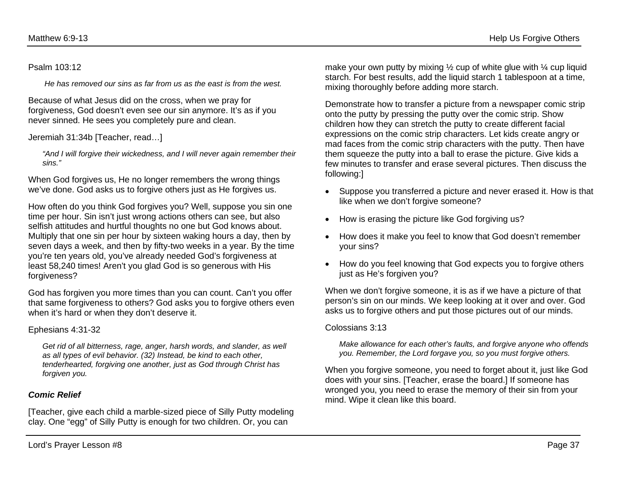#### Psalm 103:12

*He has removed our sins as far from us as the east is from the west.*

Because of what Jesus did on the cross, when we pray for forgiveness, God doesn't even see our sin anymore. It's as if you never sinned. He sees you completely pure and clean.

Jeremiah 31:34b [Teacher, read…]

*"And I will forgive their wickedness, and I will never again remember their sins."*

When God forgives us, He no longer remembers the wrong things we've done. God asks us to forgive others just as He forgives us.

How often do you think God forgives you? Well, suppose you sin one time per hour. Sin isn't just wrong actions others can see, but also selfish attitudes and hurtful thoughts no one but God knows about. Multiply that one sin per hour by sixteen waking hours a day, then by seven days a week, and then by fifty-two weeks in a year. By the time you're ten years old, you've already needed God's forgiveness at least 58,240 times! Aren't you glad God is so generous with His forgiveness?

God has forgiven you more times than you can count. Can't you offer that same forgiveness to others? God asks you to forgive others even when it's hard or when they don't deserve it.

#### Ephesians 4:31-32

*Get rid of all bitterness, rage, anger, harsh words, and slander, as well as all types of evil behavior. (32) Instead, be kind to each other, tenderhearted, forgiving one another, just as God through Christ has forgiven you.*

#### *Comic Relief*

[Teacher, give each child a marble-sized piece of Silly Putty modeling clay. One "egg" of Silly Putty is enough for two children. Or, you can

make your own putty by mixing  $\frac{1}{2}$  cup of white glue with  $\frac{1}{4}$  cup liquid starch. For best results, add the liquid starch 1 tablespoon at a time, mixing thoroughly before adding more starch.

Demonstrate how to transfer a picture from a newspaper comic strip onto the putty by pressing the putty over the comic strip. Show children how they can stretch the putty to create different facial expressions on the comic strip characters. Let kids create angry or mad faces from the comic strip characters with the putty. Then have them squeeze the putty into a ball to erase the picture. Give kids a few minutes to transfer and erase several pictures. Then discuss the following:]

- Suppose you transferred a picture and never erased it. How is that like when we don't forgive someone?
- How is erasing the picture like God forgiving us?
- How does it make you feel to know that God doesn't remember your sins?
- How do you feel knowing that God expects you to forgive others just as He's forgiven you?

When we don't forgive someone, it is as if we have a picture of that person's sin on our minds. We keep looking at it over and over. God asks us to forgive others and put those pictures out of our minds.

#### Colossians 3:13

*Make allowance for each other's faults, and forgive anyone who offends you. Remember, the Lord forgave you, so you must forgive others.* 

When you forgive someone, you need to forget about it, just like God does with your sins. [Teacher, erase the board.] If someone has wronged you, you need to erase the memory of their sin from your mind. Wipe it clean like this board.